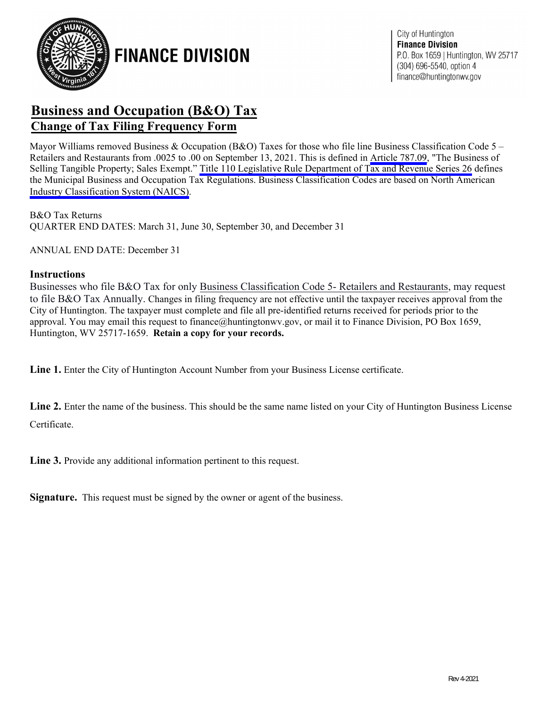

**FINANCE DIVISION** 

### **Business and Occupation (B&O) Tax Change of Tax Filing Frequency Form**

Mayor Williams removed Business & Occupation (B&O) Taxes for those who file line Business Classification Code 5 – Retailers and Restaurants from .0025 to .00 on September 13, 2021. This is defined in [Article](https://library.municode.com/wv/huntington/codes/code_of_ordinances?nodeId=CO_PTSEVENBUTACO_CHTHREETASECH_ART787BUOCTA_787.09THBUSETAPRSAEX) 787.09, "The Business of Selling Tangible Property; Sales Exempt." Title 110 Legislative Rule Department [of Tax and Revenue](https://apps.sos.wv.gov/adlaw/csr/readfile.aspx?DocId=21192&Format=PDF) Series 26 defines the Municipal Business and Occupation Tax Regulations. Business Classification Codes are based on North American Industry [Classification System](https://www.census.gov/naics/?58967?yearbck=2022) (NAICS).

B&O Tax Returns QUARTER END DATES: March 31, June 30, September 30, and December 31

ANNUAL END DATE: December 31

#### **Instructions**

Businesses who file B&O Tax for only Business Classification Code 5- Retailers and Restaurants, may request to file B&O Tax Annually. Changes in filing frequency are not effective until the taxpayer receives approval from the City of Huntington. The taxpayer must complete and file all pre-identified returns received for periods prior to the approval. You may email this request to finance@huntingtonwv.gov, or mail it to Finance Division, PO Box 1659, Huntington, WV 25717-1659. **Retain a copy for your records.**

**Line 1.** Enter the City of Huntington Account Number from your Business License certificate.

Line 2. Enter the name of the business. This should be the same name listed on your City of Huntington Business License Certificate.

**Line 3.** Provide any additional information pertinent to this request.

**Signature.** This request must be signed by the owner or agent of the business.